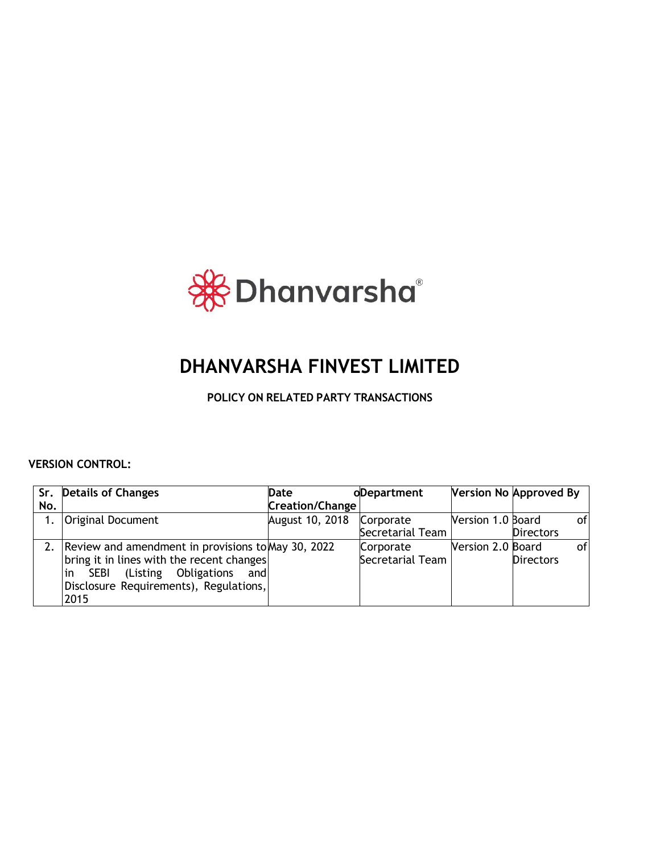

# **DHANVARSHA FINVEST LIMITED**

**POLICY ON RELATED PARTY TRANSACTIONS**

**VERSION CONTROL:** 

|     | Sr. Details of Changes                             | Date            | oDepartment      | <b>Version No Approved By</b> |                  |    |
|-----|----------------------------------------------------|-----------------|------------------|-------------------------------|------------------|----|
| No. |                                                    | Creation/Change |                  |                               |                  |    |
|     | Original Document                                  | August 10, 2018 | Corporate        | Version 1.0 Board             |                  | of |
|     |                                                    |                 | Secretarial Team |                               | <b>Directors</b> |    |
|     | Review and amendment in provisions to May 30, 2022 |                 | Corporate        | Version 2.0 Board             |                  | of |
|     | bring it in lines with the recent changes          |                 | Secretarial Team |                               | <b>Directors</b> |    |
|     | (Listing Obligations<br>in<br><b>SEBI</b><br>andl  |                 |                  |                               |                  |    |
|     | Disclosure Requirements), Regulations,             |                 |                  |                               |                  |    |
|     | 2015                                               |                 |                  |                               |                  |    |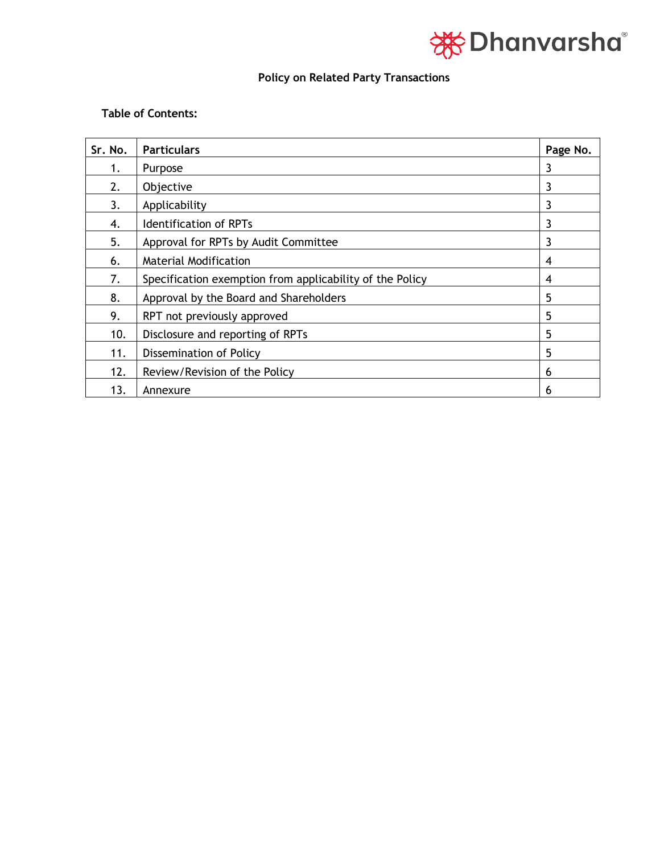

# **Policy on Related Party Transactions**

# **Table of Contents:**

| Sr. No. | <b>Particulars</b>                                       | Page No. |
|---------|----------------------------------------------------------|----------|
| 1.      | Purpose                                                  | 3        |
| 2.      | Objective                                                | 3        |
| 3.      | Applicability                                            |          |
| 4.      | <b>Identification of RPTs</b>                            | 3        |
| 5.      | Approval for RPTs by Audit Committee                     | 3        |
| 6.      | <b>Material Modification</b>                             | 4        |
| 7.      | Specification exemption from applicability of the Policy | 4        |
| 8.      | Approval by the Board and Shareholders                   | 5        |
| 9.      | RPT not previously approved                              | 5        |
| 10.     | Disclosure and reporting of RPTs                         | 5        |
| 11.     | Dissemination of Policy                                  | 5        |
| 12.     | Review/Revision of the Policy                            | 6        |
| 13.     | Annexure                                                 | 6        |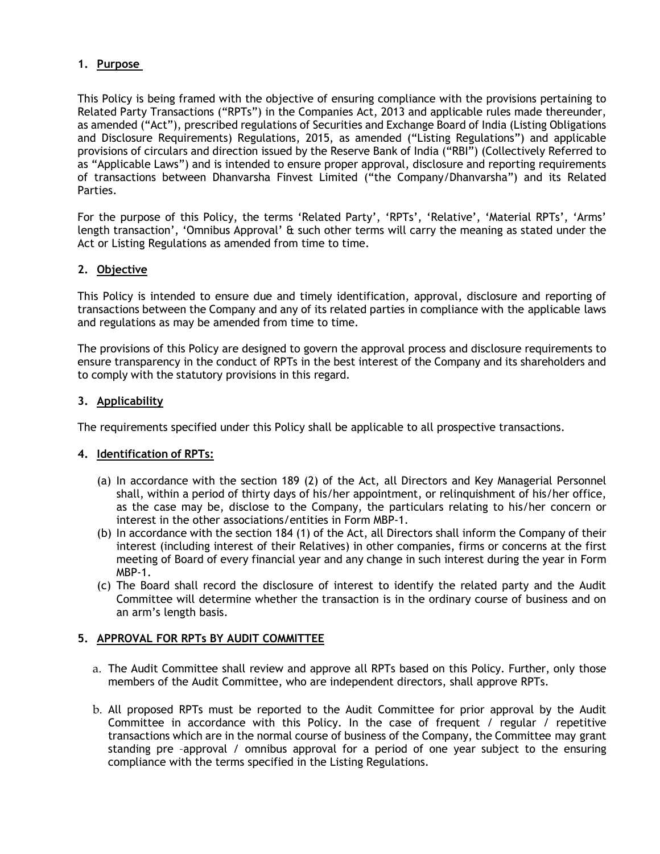# **1. Purpose**

This Policy is being framed with the objective of ensuring compliance with the provisions pertaining to Related Party Transactions ("RPTs") in the Companies Act, 2013 and applicable rules made thereunder, as amended ("Act"), prescribed regulations of Securities and Exchange Board of India (Listing Obligations and Disclosure Requirements) Regulations, 2015, as amended ("Listing Regulations") and applicable provisions of circulars and direction issued by the Reserve Bank of India ("RBI") (Collectively Referred to as "Applicable Laws") and is intended to ensure proper approval, disclosure and reporting requirements of transactions between Dhanvarsha Finvest Limited ("the Company/Dhanvarsha") and its Related Parties.

For the purpose of this Policy, the terms 'Related Party', 'RPTs', 'Relative', 'Material RPTs', 'Arms' length transaction', 'Omnibus Approval' & such other terms will carry the meaning as stated under the Act or Listing Regulations as amended from time to time.

# **2. Objective**

This Policy is intended to ensure due and timely identification, approval, disclosure and reporting of transactions between the Company and any of its related parties in compliance with the applicable laws and regulations as may be amended from time to time.

The provisions of this Policy are designed to govern the approval process and disclosure requirements to ensure transparency in the conduct of RPTs in the best interest of the Company and its shareholders and to comply with the statutory provisions in this regard.

# **3. Applicability**

The requirements specified under this Policy shall be applicable to all prospective transactions.

# **4. Identification of RPTs:**

- (a) In accordance with the section 189 (2) of the Act, all Directors and Key Managerial Personnel shall, within a period of thirty days of his/her appointment, or relinquishment of his/her office, as the case may be, disclose to the Company, the particulars relating to his/her concern or interest in the other associations/entities in Form MBP-1.
- (b) In accordance with the section 184 (1) of the Act, all Directors shall inform the Company of their interest (including interest of their Relatives) in other companies, firms or concerns at the first meeting of Board of every financial year and any change in such interest during the year in Form MBP-1.
- (c) The Board shall record the disclosure of interest to identify the related party and the Audit Committee will determine whether the transaction is in the ordinary course of business and on an arm's length basis.

#### **5. APPROVAL FOR RPTs BY AUDIT COMMITTEE**

- a. The Audit Committee shall review and approve all RPTs based on this Policy. Further, only those members of the Audit Committee, who are independent directors, shall approve RPTs.
- b. All proposed RPTs must be reported to the Audit Committee for prior approval by the Audit Committee in accordance with this Policy. In the case of frequent / regular / repetitive transactions which are in the normal course of business of the Company, the Committee may grant standing pre –approval / omnibus approval for a period of one year subject to the ensuring compliance with the terms specified in the Listing Regulations.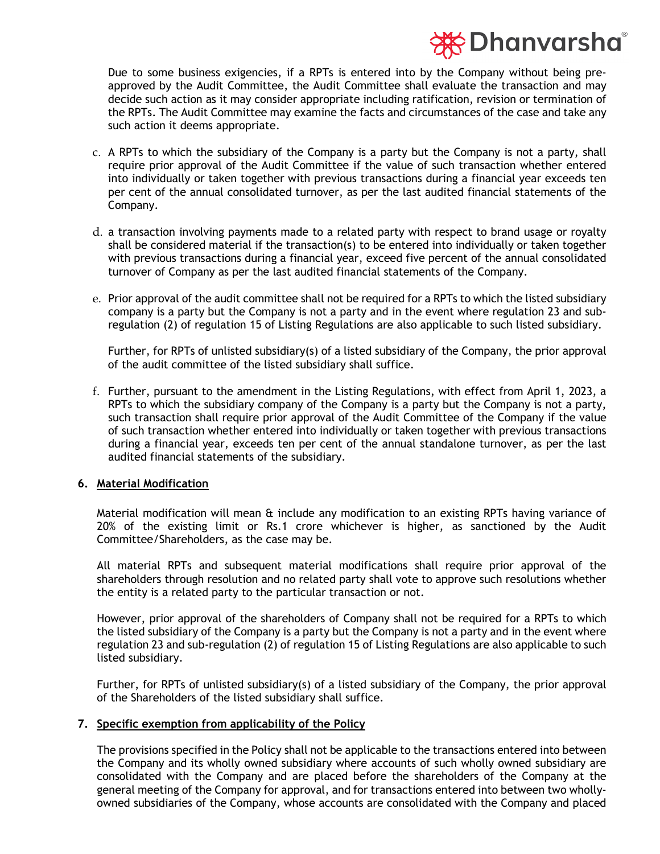# iction Dhanvarsha®

Due to some business exigencies, if a RPTs is entered into by the Company without being preapproved by the Audit Committee, the Audit Committee shall evaluate the transaction and may decide such action as it may consider appropriate including ratification, revision or termination of the RPTs. The Audit Committee may examine the facts and circumstances of the case and take any such action it deems appropriate.

- c. A RPTs to which the subsidiary of the Company is a party but the Company is not a party, shall require prior approval of the Audit Committee if the value of such transaction whether entered into individually or taken together with previous transactions during a financial year exceeds ten per cent of the annual consolidated turnover, as per the last audited financial statements of the Company.
- d. a transaction involving payments made to a related party with respect to brand usage or royalty shall be considered material if the transaction(s) to be entered into individually or taken together with previous transactions during a financial year, exceed five percent of the annual consolidated turnover of Company as per the last audited financial statements of the Company.
- e. Prior approval of the audit committee shall not be required for a RPTs to which the listed subsidiary company is a party but the Company is not a party and in the event where regulation 23 and subregulation (2) of regulation 15 of Listing Regulations are also applicable to such listed subsidiary.

Further, for RPTs of unlisted subsidiary(s) of a listed subsidiary of the Company, the prior approval of the audit committee of the listed subsidiary shall suffice.

f. Further, pursuant to the amendment in the Listing Regulations, with effect from April 1, 2023, a RPTs to which the subsidiary company of the Company is a party but the Company is not a party, such transaction shall require prior approval of the Audit Committee of the Company if the value of such transaction whether entered into individually or taken together with previous transactions during a financial year, exceeds ten per cent of the annual standalone turnover, as per the last audited financial statements of the subsidiary.

#### **6. Material Modification**

Material modification will mean & include any modification to an existing RPTs having variance of 20% of the existing limit or Rs.1 crore whichever is higher, as sanctioned by the Audit Committee/Shareholders, as the case may be.

All material RPTs and subsequent material modifications shall require prior approval of the shareholders through resolution and no related party shall vote to approve such resolutions whether the entity is a related party to the particular transaction or not.

However, prior approval of the shareholders of Company shall not be required for a RPTs to which the listed subsidiary of the Company is a party but the Company is not a party and in the event where regulation 23 and sub-regulation (2) of regulation 15 of Listing Regulations are also applicable to such listed subsidiary.

Further, for RPTs of unlisted subsidiary(s) of a listed subsidiary of the Company, the prior approval of the Shareholders of the listed subsidiary shall suffice.

#### **7. Specific exemption from applicability of the Policy**

The provisions specified in the Policy shall not be applicable to the transactions entered into between the Company and its wholly owned subsidiary where accounts of such wholly owned subsidiary are consolidated with the Company and are placed before the shareholders of the Company at the general meeting of the Company for approval, and for transactions entered into between two whollyowned subsidiaries of the Company, whose accounts are consolidated with the Company and placed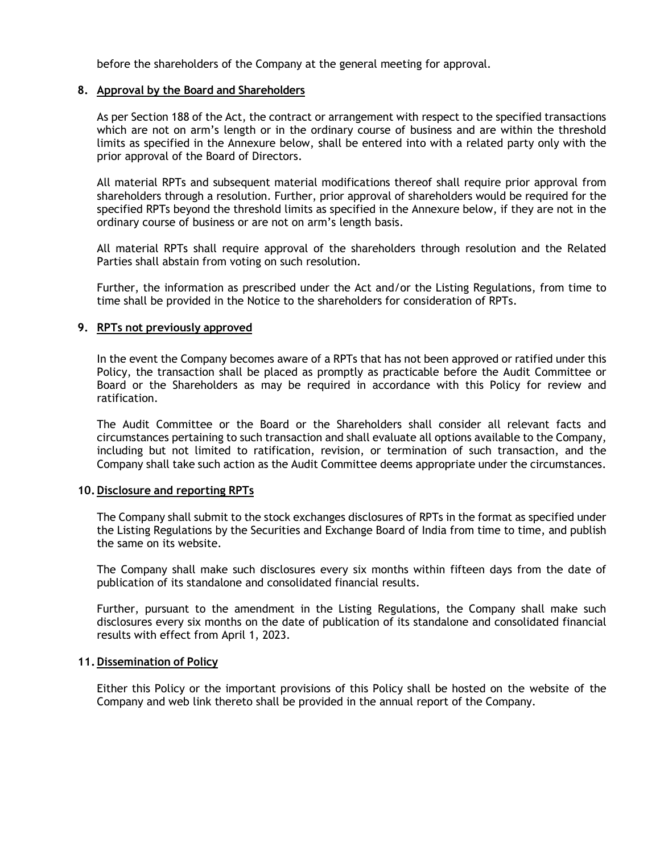before the shareholders of the Company at the general meeting for approval.

#### **8. Approval by the Board and Shareholders**

As per Section 188 of the Act, the contract or arrangement with respect to the specified transactions which are not on arm's length or in the ordinary course of business and are within the threshold limits as specified in the Annexure below, shall be entered into with a related party only with the prior approval of the Board of Directors.

All material RPTs and subsequent material modifications thereof shall require prior approval from shareholders through a resolution. Further, prior approval of shareholders would be required for the specified RPTs beyond the threshold limits as specified in the Annexure below, if they are not in the ordinary course of business or are not on arm's length basis.

All material RPTs shall require approval of the shareholders through resolution and the Related Parties shall abstain from voting on such resolution.

Further, the information as prescribed under the Act and/or the Listing Regulations, from time to time shall be provided in the Notice to the shareholders for consideration of RPTs.

#### **9. RPTs not previously approved**

In the event the Company becomes aware of a RPTs that has not been approved or ratified under this Policy, the transaction shall be placed as promptly as practicable before the Audit Committee or Board or the Shareholders as may be required in accordance with this Policy for review and ratification.

The Audit Committee or the Board or the Shareholders shall consider all relevant facts and circumstances pertaining to such transaction and shall evaluate all options available to the Company, including but not limited to ratification, revision, or termination of such transaction, and the Company shall take such action as the Audit Committee deems appropriate under the circumstances.

#### **10.Disclosure and reporting RPTs**

The Company shall submit to the stock exchanges disclosures of RPTs in the format as specified under the Listing Regulations by the Securities and Exchange Board of India from time to time, and publish the same on its website.

The Company shall make such disclosures every six months within fifteen days from the date of publication of its standalone and consolidated financial results.

Further, pursuant to the amendment in the Listing Regulations, the Company shall make such disclosures every six months on the date of publication of its standalone and consolidated financial results with effect from April 1, 2023.

#### **11.Dissemination of Policy**

Either this Policy or the important provisions of this Policy shall be hosted on the website of the Company and web link thereto shall be provided in the annual report of the Company.